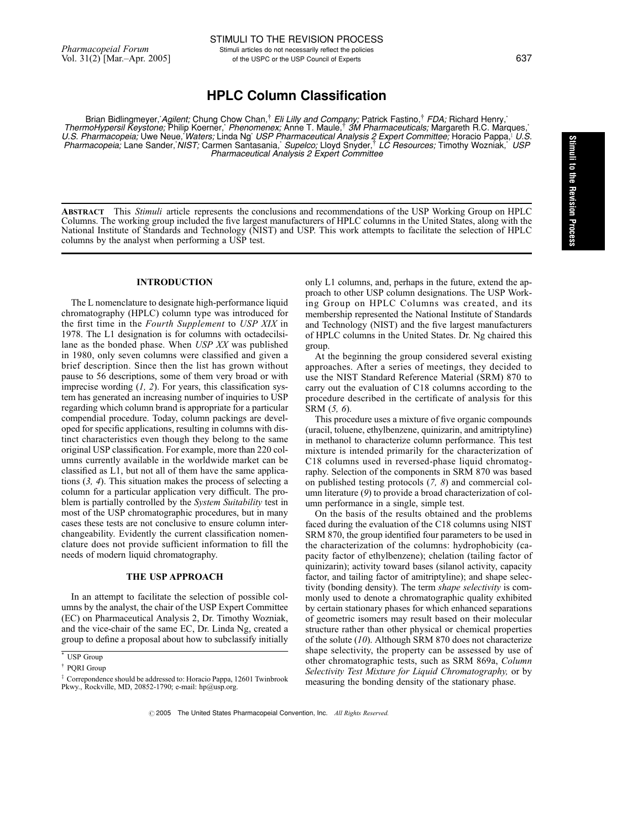# HPLC Column Classification

Brian Bidlingmeyer, Agilent; Chung Chow Chan,<sup>†</sup> Eli Lilly and Company; Patrick Fastino,<sup>†</sup> FDA; Richard Henry,\* ThermoHypersil Keystone; Philip Koerner,\* Phenomenex; Anne T. Maule,<sup>†</sup> 3M Pharmaceuticals; Margareth R.C. Marques,\* U.S. Pharmacopeia; Uwe Neue, Waters; Linda Ng` USP Pharmaceutical Analysis 2 Expert Committee; Horacio Pappa,<sup>†</sup> U.S. Pharmacopeia; Lane Sander, NIST; Carmen Santasania, Supelco; Lloyd Snyder,<sup>†</sup> LC Resources; Timothy Wozniak, USP Pharmaceutical Analysis 2 Expert Committee

ABSTRACT This Stimuli article represents the conclusions and recommendations of the USP Working Group on HPLC Columns. The working group included the five largest manufacturers of HPLC columns in the United States, along with the National Institute of Standards and Technology (NIST) and USP. This work attempts to facilitate the selection of HPLC columns by the analyst when performing a USP test.

# INTRODUCTION

The L nomenclature to designate high-performance liquid chromatography (HPLC) column type was introduced for the first time in the Fourth Supplement to USP XIX in 1978. The L1 designation is for columns with octadecilsilane as the bonded phase. When USP XX was published in 1980, only seven columns were classified and given a brief description. Since then the list has grown without pause to 56 descriptions, some of them very broad or with imprecise wording  $(1, 2)$ . For years, this classification system has generated an increasing number of inquiries to USP regarding which column brand is appropriate for a particular compendial procedure. Today, column packings are developed for specific applications, resulting in columns with distinct characteristics even though they belong to the same original USP classification. For example, more than 220 columns currently available in the worldwide market can be classified as L1, but not all of them have the same applications (3, 4). This situation makes the process of selecting a column for a particular application very difficult. The problem is partially controlled by the *System Suitability* test in most of the USP chromatographic procedures, but in many cases these tests are not conclusive to ensure column interchangeability. Evidently the current classification nomenclature does not provide sufficient information to fill the needs of modern liquid chromatography.

### THE USP APPROACH

In an attempt to facilitate the selection of possible columns by the analyst, the chair of the USP Expert Committee (EC) on Pharmaceutical Analysis 2, Dr. Timothy Wozniak, and the vice-chair of the same EC, Dr. Linda Ng, created a group to define a proposal about how to subclassify initially

only L1 columns, and, perhaps in the future, extend the approach to other USP column designations. The USP Working Group on HPLC Columns was created, and its membership represented the National Institute of Standards and Technology (NIST) and the five largest manufacturers of HPLC columns in the United States. Dr. Ng chaired this group.

At the beginning the group considered several existing approaches. After a series of meetings, they decided to use the NIST Standard Reference Material (SRM) 870 to carry out the evaluation of C18 columns according to the procedure described in the certificate of analysis for this SRM (5, 6).

This procedure uses a mixture of five organic compounds (uracil, toluene, ethylbenzene, quinizarin, and amitriptyline) in methanol to characterize column performance. This test mixture is intended primarily for the characterization of C18 columns used in reversed-phase liquid chromatography. Selection of the components in SRM 870 was based on published testing protocols (7, 8) and commercial column literature (9) to provide a broad characterization of column performance in a single, simple test.

On the basis of the results obtained and the problems faced during the evaluation of the C18 columns using NIST SRM 870, the group identified four parameters to be used in the characterization of the columns: hydrophobicity (capacity factor of ethylbenzene); chelation (tailing factor of quinizarin); activity toward bases (silanol activity, capacity factor, and tailing factor of amitriptyline); and shape selectivity (bonding density). The term *shape selectivity* is commonly used to denote a chromatographic quality exhibited by certain stationary phases for which enhanced separations of geometric isomers may result based on their molecular structure rather than other physical or chemical properties of the solute (10). Although SRM 870 does not characterize shape selectivity, the property can be assessed by use of other chromatographic tests, such as SRM 869a, Column Selectivity Test Mixture for Liquid Chromatography, or by measuring the bonding density of the stationary phase.

<sup>\*</sup> USP Group

<sup>{</sup> PQRI Group

<sup>&</sup>lt;sup>‡</sup> Correpondence should be addressed to: Horacio Pappa, 12601 Twinbrook Pkwy., Rockville, MD, 20852-1790; e-mail: hp@usp.org.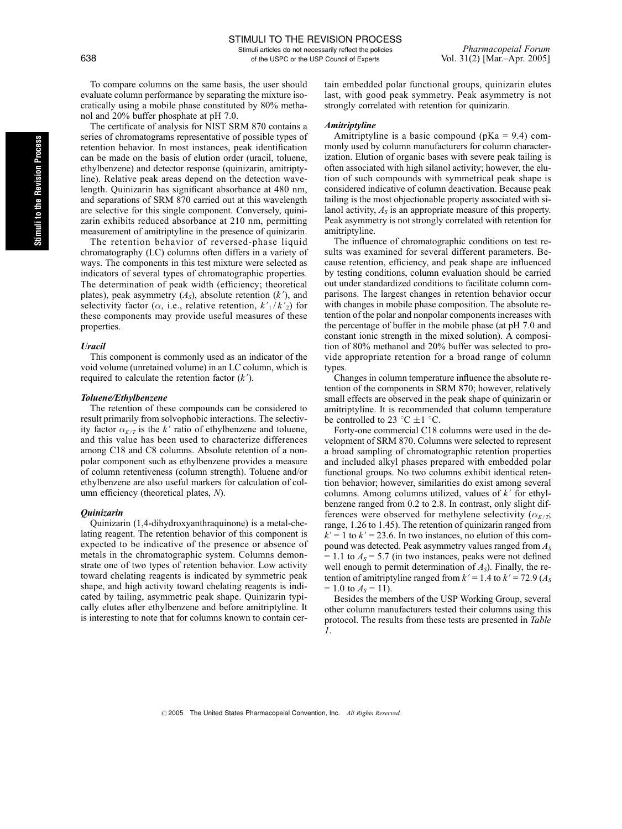Stimuli articles do not necessarily reflect the policies *Pharmacopeial Forum*<br>of the USPC or the USP Council of Experts Vol. 31(2) [Mar.-Apr. 2005] 638 of the USPC or the USP Council of Experts

To compare columns on the same basis, the user should evaluate column performance by separating the mixture isocratically using a mobile phase constituted by 80% methanol and 20% buffer phosphate at pH 7.0.

The certificate of analysis for NIST SRM 870 contains a series of chromatograms representative of possible types of retention behavior. In most instances, peak identification can be made on the basis of elution order (uracil, toluene, ethylbenzene) and detector response (quinizarin, amitriptyline). Relative peak areas depend on the detection wavelength. Quinizarin has significant absorbance at 480 nm, and separations of SRM 870 carried out at this wavelength are selective for this single component. Conversely, quinizarin exhibits reduced absorbance at 210 nm, permitting measurement of amitriptyline in the presence of quinizarin.

The retention behavior of reversed-phase liquid chromatography (LC) columns often differs in a variety of ways. The components in this test mixture were selected as indicators of several types of chromatographic properties. The determination of peak width (efficiency; theoretical plates), peak asymmetry  $(A<sub>s</sub>)$ , absolute retention  $(k')$ , and selectivity factor ( $\alpha$ , i.e., relative retention,  $k'_{1}/k'_{2}$ ) for these components may provide useful measures of these properties.

# Uracil

This component is commonly used as an indicator of the void volume (unretained volume) in an LC column, which is required to calculate the retention factor  $(k')$ .

#### Toluene/Ethylbenzene

The retention of these compounds can be considered to result primarily from solvophobic interactions. The selectivity factor  $\alpha_{E/T}$  is the k' ratio of ethylbenzene and toluene, and this value has been used to characterize differences among C18 and C8 columns. Absolute retention of a nonpolar component such as ethylbenzene provides a measure of column retentiveness (column strength). Toluene and/or ethylbenzene are also useful markers for calculation of column efficiency (theoretical plates, N).

#### Quinizarin

Quinizarin (1,4-dihydroxyanthraquinone) is a metal-chelating reagent. The retention behavior of this component is expected to be indicative of the presence or absence of metals in the chromatographic system. Columns demonstrate one of two types of retention behavior. Low activity toward chelating reagents is indicated by symmetric peak shape, and high activity toward chelating reagents is indicated by tailing, asymmetric peak shape. Quinizarin typically elutes after ethylbenzene and before amitriptyline. It is interesting to note that for columns known to contain certain embedded polar functional groups, quinizarin elutes last, with good peak symmetry. Peak asymmetry is not strongly correlated with retention for quinizarin.

#### Amitriptyline

Amitriptyline is a basic compound ( $pKa = 9.4$ ) commonly used by column manufacturers for column characterization. Elution of organic bases with severe peak tailing is often associated with high silanol activity; however, the elution of such compounds with symmetrical peak shape is considered indicative of column deactivation. Because peak tailing is the most objectionable property associated with silanol activity,  $A_s$  is an appropriate measure of this property. Peak asymmetry is not strongly correlated with retention for amitriptyline.

The influence of chromatographic conditions on test results was examined for several different parameters. Because retention, efficiency, and peak shape are influenced by testing conditions, column evaluation should be carried out under standardized conditions to facilitate column comparisons. The largest changes in retention behavior occur with changes in mobile phase composition. The absolute retention of the polar and nonpolar components increases with the percentage of buffer in the mobile phase (at pH 7.0 and constant ionic strength in the mixed solution). A composition of 80% methanol and 20% buffer was selected to provide appropriate retention for a broad range of column types.

Changes in column temperature influence the absolute retention of the components in SRM 870; however, relatively small effects are observed in the peak shape of quinizarin or amitriptyline. It is recommended that column temperature be controlled to 23  $\degree$ C  $\pm$ 1  $\degree$ C.

Forty-one commercial C18 columns were used in the development of SRM 870. Columns were selected to represent a broad sampling of chromatographic retention properties and included alkyl phases prepared with embedded polar functional groups. No two columns exhibit identical retention behavior; however, similarities do exist among several columns. Among columns utilized, values of  $k'$  for ethylbenzene ranged from 0.2 to 2.8. In contrast, only slight differences were observed for methylene selectivity ( $\alpha_{E/T}$ ; range, 1.26 to 1.45). The retention of quinizarin ranged from  $k' = 1$  to  $k' = 23.6$ . In two instances, no elution of this compound was detected. Peak asymmetry values ranged from  $A<sub>S</sub>$  $= 1.1$  to  $A_s = 5.7$  (in two instances, peaks were not defined well enough to permit determination of  $A_{\rm S}$ ). Finally, the retention of amitriptyline ranged from  $k' = 1.4$  to  $k' = 72.9$  ( $A<sub>S</sub>$  $= 1.0$  to  $A_s = 11$ ).

Besides the members of the USP Working Group, several other column manufacturers tested their columns using this protocol. The results from these tests are presented in Table 1.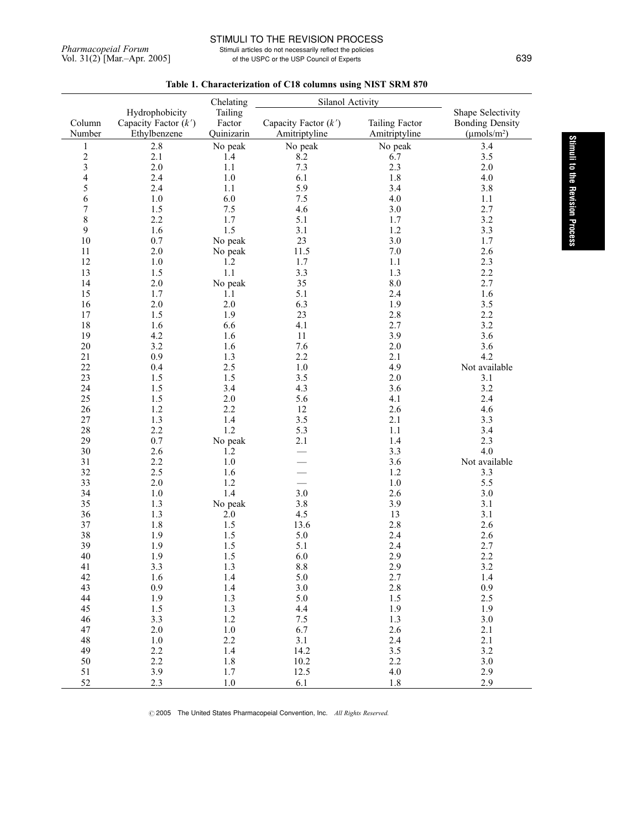# STIMULI TO THE REVISION PROCESS

Pharmacopeial Forum<br>
Stimuli articles do not necessarily reflect the policies<br>
Vol. 31(2) [Mar.-Apr. 2005]<br>
Stimuli articles do not necessarily reflect the policies<br>
of the USPC or the USP Council of Experts of the USPC or the USP Council of Experts 639

|                |                                          | Chelating         | Silanol Activity       |                       |                                             |
|----------------|------------------------------------------|-------------------|------------------------|-----------------------|---------------------------------------------|
| Column         | Hydrophobicity<br>Capacity Factor $(k')$ | Tailing<br>Factor | Capacity Factor $(k')$ | <b>Tailing Factor</b> | Shape Selectivity<br><b>Bonding Density</b> |
| Number         | Ethylbenzene                             | Quinizarin        | Amitriptyline          | Amitriptyline         | $(\mu \text{mols/m}^2)$                     |
| 1              | 2.8                                      | No peak           | No peak                | No peak               | 3.4                                         |
| $\frac{2}{3}$  | 2.1                                      | 1.4               | 8.2                    | 6.7                   | 3.5                                         |
|                | 2.0                                      | 1.1               | 7.3                    | 2.3                   | 2.0                                         |
| $\overline{4}$ | 2.4                                      | 1.0               | 6.1                    | 1.8                   | 4.0                                         |
| 5              | 2.4                                      | 1.1               | 5.9                    | 3.4                   | 3.8                                         |
| $\sqrt{6}$     | 1.0                                      | 6.0               | 7.5                    | 4.0                   | 1.1                                         |
| $\overline{7}$ | 1.5                                      | 7.5               | 4.6                    | 3.0                   | 2.7                                         |
| $\,8\,$        | 2.2                                      | 1.7               | 5.1                    | 1.7                   | 3.2                                         |
| 9              | 1.6                                      | 1.5               | 3.1                    | 1.2                   | 3.3                                         |
| 10             | 0.7                                      | No peak           | 23                     | 3.0                   | 1.7                                         |
| 11             | 2.0                                      | No peak           | 11.5                   | 7.0                   | 2.6                                         |
| 12             | 1.0                                      | 1.2               | 1.7                    | 1.1                   | 2.3                                         |
| 13             | 1.5                                      | 1.1               | 3.3                    | 1.3                   | 2.2                                         |
| 14             | 2.0                                      | No peak           | 35                     | 8.0                   | 2.7                                         |
| 15             | 1.7                                      | 1.1               | 5.1                    | 2.4                   | 1.6                                         |
| 16             | 2.0                                      | 2.0               | 6.3                    | 1.9                   | 3.5                                         |
| 17             | 1.5                                      | 1.9               | 23                     | 2.8                   | 2.2                                         |
| 18             | 1.6                                      | 6.6               | 4.1                    | 2.7                   | 3.2                                         |
| 19             | 4.2                                      | 1.6               | 11                     | 3.9                   | 3.6                                         |
| 20             | 3.2                                      | 1.6               | 7.6                    | 2.0                   | 3.6                                         |
| 21             | 0.9                                      | 1.3               | 2.2                    | 2.1                   | 4.2                                         |
| 22             | 0.4                                      | 2.5               | $1.0\,$                | 4.9                   | Not available                               |
| 23             | 1.5                                      | 1.5               | 3.5                    | 2.0                   | 3.1                                         |
| 24             | 1.5                                      | 3.4               | 4.3                    | 3.6                   | 3.2                                         |
| 25             | 1.5                                      | 2.0               | 5.6                    | 4.1                   | 2.4                                         |
| 26             | 1.2                                      | 2.2               | 12                     | 2.6                   | 4.6                                         |
| 27             | 1.3                                      | 1.4               | 3.5                    | 2.1                   | 3.3                                         |
| 28             | 2.2                                      | 1.2               | 5.3                    | 1.1                   | 3.4                                         |
| 29             | 0.7                                      | No peak           | 2.1                    | 1.4                   | 2.3                                         |
| 30             | 2.6                                      | 1.2               |                        | 3.3                   | 4.0                                         |
| 31             | 2.2                                      | 1.0               |                        | 3.6                   | Not available                               |
| 32             | 2.5                                      | 1.6               |                        | 1.2                   | 3.3                                         |
| 33             | 2.0                                      | 1.2               |                        | $1.0\,$               | 5.5                                         |
| 34             | 1.0                                      | 1.4               | 3.0                    | 2.6                   | 3.0                                         |
| 35             | 1.3                                      | No peak           | 3.8                    | 3.9                   | 3.1                                         |
| 36             | 1.3                                      | 2.0               | 4.5                    | 13                    | 3.1                                         |
| 37             | 1.8                                      | $1.5\,$           | 13.6                   | 2.8                   | 2.6                                         |
| 38             | 1.9                                      | $1.5\,$           | 5.0                    | 2.4                   | 2.6                                         |
| 39             | 1.9                                      | $1.5\,$           | 5.1                    | 2.4                   | 2.7                                         |
| 40             | 1.9                                      | 1.5               | $6.0\,$                | 2.9                   | 2.2                                         |
| 41             | 3.3                                      | 1.3               | $8.8\,$                | 2.9                   | 3.2                                         |
| 42             | 1.6                                      | 1.4               | 5.0                    | 2.7                   | 1.4                                         |
| 43             | 0.9                                      | 1.4               | 3.0                    | 2.8                   | 0.9                                         |
| 44             | 1.9                                      | 1.3               | 5.0                    | 1.5                   | 2.5                                         |
| 45             | 1.5                                      | $1.3\,$           | 4.4                    | 1.9                   | 1.9                                         |
| 46             | 3.3                                      | 1.2               | 7.5                    | 1.3                   | 3.0                                         |
| 47             | $2.0\,$                                  | $1.0\,$           | 6.7                    | 2.6                   | 2.1                                         |
| 48             | 1.0                                      | $2.2\,$           | 3.1                    | 2.4                   | 2.1                                         |
| 49             | 2.2                                      | 1.4               | 14.2                   | 3.5                   | 3.2                                         |
| 50             | 2.2                                      | 1.8               | 10.2                   | 2.2                   | 3.0                                         |
| 51<br>52       | 3.9<br>2.3                               | 1.7<br>1.0        | 12.5                   | 4.0<br>1.8            | 2.9<br>2.9                                  |
|                |                                          |                   | 6.1                    |                       |                                             |

Table 1. Characterization of C18 columns using NIST SRM 870

© 2005 The United States Pharmacopeial Convention, Inc. All Rights Reserved.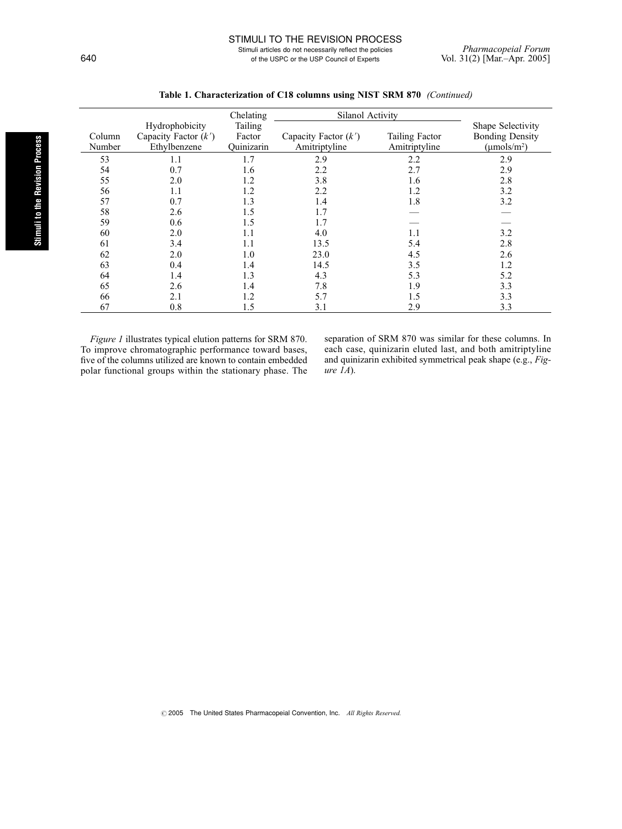Stimuli articles do not necessarily reflect the policies Pharmacopeial Forum<br>of the USPC or the USP Council of Experts Vol. 31(2) [Mar.-Apr. 2005] 640 of the USPC or the USP Council of Experts

|                  |                                                          | Chelating                       | Silanol Activity                        |                                 |                                                                |
|------------------|----------------------------------------------------------|---------------------------------|-----------------------------------------|---------------------------------|----------------------------------------------------------------|
| Column<br>Number | Hydrophobicity<br>Capacity Factor $(k')$<br>Ethylbenzene | Tailing<br>Factor<br>Quinizarin | Capacity Factor $(k')$<br>Amitriptyline | Tailing Factor<br>Amitriptyline | Shape Selectivity<br><b>Bonding Density</b><br>$(\mu mols/m2)$ |
| 53               | 1.1                                                      | 1.7                             | 2.9                                     | 2.2                             | 2.9                                                            |
| 54               | 0.7                                                      | 1.6                             | 2.2                                     | 2.7                             | 2.9                                                            |
| 55               | 2.0                                                      | 1.2                             | 3.8                                     | 1.6                             | 2.8                                                            |
| 56               | 1.1                                                      | 1.2                             | 2.2                                     | 1.2                             | 3.2                                                            |
| 57               | 0.7                                                      | 1.3                             | 1.4                                     | 1.8                             | 3.2                                                            |
| 58               | 2.6                                                      | 1.5                             | 1.7                                     |                                 |                                                                |
| 59               | 0.6                                                      | 1.5                             | 1.7                                     |                                 |                                                                |
| 60               | 2.0                                                      | 1.1                             | 4.0                                     | 1.1                             | 3.2                                                            |
| 61               | 3.4                                                      | 1.1                             | 13.5                                    | 5.4                             | 2.8                                                            |
| 62               | 2.0                                                      | 1.0                             | 23.0                                    | 4.5                             | 2.6                                                            |
| 63               | 0.4                                                      | 1.4                             | 14.5                                    | 3.5                             | 1.2                                                            |
| 64               | 1.4                                                      | 1.3                             | 4.3                                     | 5.3                             | 5.2                                                            |
| 65               | 2.6                                                      | 1.4                             | 7.8                                     | 1.9                             | 3.3                                                            |
| 66               | 2.1                                                      | 1.2                             | 5.7                                     | 1.5                             | 3.3                                                            |
| 67               | 0.8                                                      | 1.5                             | 3.1                                     | 2.9                             | 3.3                                                            |

| Table 1. Characterization of C18 columns using NIST SRM 870 (Continued) |  |  |
|-------------------------------------------------------------------------|--|--|
|-------------------------------------------------------------------------|--|--|

Figure 1 illustrates typical elution patterns for SRM 870. To improve chromatographic performance toward bases, five of the columns utilized are known to contain embedded polar functional groups within the stationary phase. The separation of SRM 870 was similar for these columns. In each case, quinizarin eluted last, and both amitriptyline and quinizarin exhibited symmetrical peak shape (e.g., Figure  $1A$ ).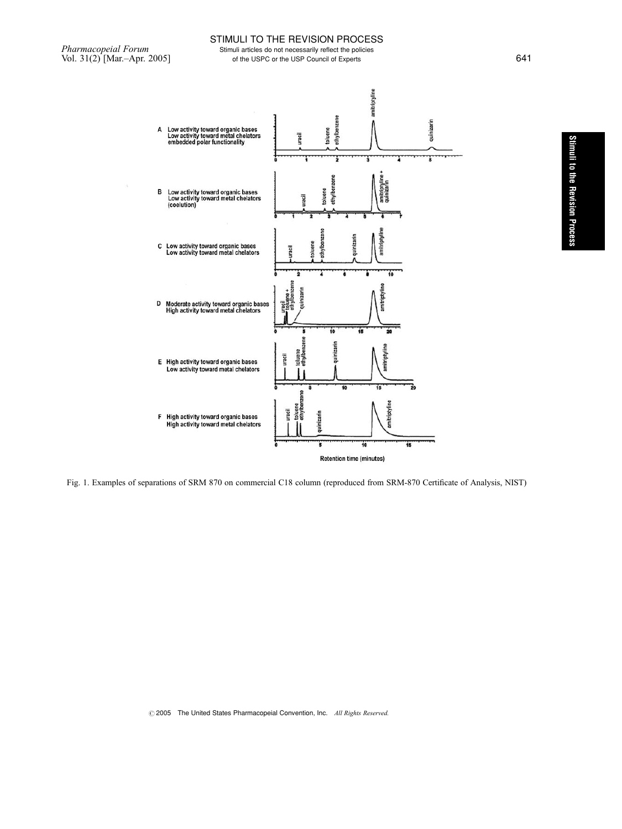$\frac{1}{2}$ 

# STIMULI TO THE REVISION PROCESS

Pharmacopeial Forum<br>
Vol. 31(2) [Mar.-Apr. 2005]<br>
Stimuli articles do not necessarily reflect the policies<br>
of the USPC or the USP Council of Experts of the USPC or the USP Council of Experts 641



Fig. 1. Examples of separations of SRM 870 on commercial C18 column (reproduced from SRM-870 Certificate of Analysis, NIST)

 $O$  2005 The United States Pharmacopeial Convention, Inc. All Rights Reserved.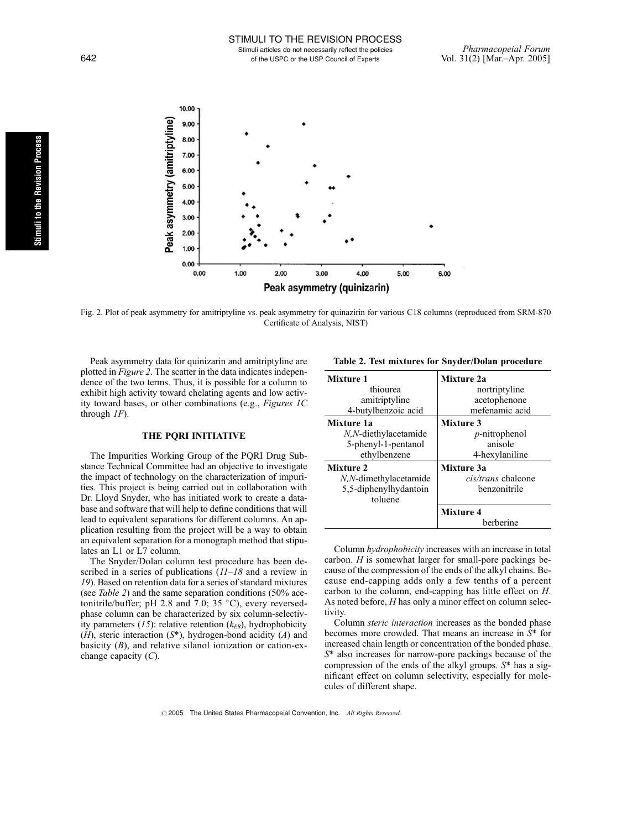Stimuli articles do not necessarily reflect the policies Pharmacopeial Forum<br>of the USPC or the USP Council of Experts Vol. 31(2) [Mar.-Apr. 2005] 642 of the USPC or the USP Council of Experts



Fig. 2. Plot of peak asymmetry for amitriptyline vs. peak asymmetry for quinazirin for various C18 columns (reproduced from SRM-870 Certificate of Analysis, NIST)

Peak asymmetry data for quinizarin and amitriptyline are plotted in Figure 2. The scatter in the data indicates independence of the two terms. Thus, it is possible for a column to exhibit high activity toward chelating agents and low activity toward bases, or other combinations (e.g., Figures 1C through  $IF$ ).

# THE PQRI INITIATIVE

The Impurities Working Group of the PQRI Drug Substance Technical Committee had an objective to investigate the impact of technology on the characterization of impurities. This project is being carried out in collaboration with Dr. Lloyd Snyder, who has initiated work to create a database and software that will help to define conditions that will lead to equivalent separations for different columns. An application resulting from the project will be a way to obtain an equivalent separation for a monograph method that stipulates an L1 or L7 column.

The Snyder/Dolan column test procedure has been described in a series of publications  $(11-18)$  and a review in 19). Based on retention data for a series of standard mixtures (see Table 2) and the same separation conditions (50% acetonitrile/buffer; pH 2.8 and 7.0; 35  $^{\circ}$ C), every reversedphase column can be characterized by six column-selectivity parameters (15): relative retention  $(k_{EB})$ , hydrophobicity  $(H)$ , steric interaction  $(S^*)$ , hydrogen-bond acidity  $(A)$  and basicity  $(B)$ , and relative silanol ionization or cation-exchange capacity  $(C)$ .

Table 2. Test mixtures for Snyder/Dolan procedure

| Mixture 1             | Mixture 2a         |  |  |
|-----------------------|--------------------|--|--|
| thiourea              | nortriptyline      |  |  |
| amitriptyline         | acetophenone       |  |  |
| 4-butylbenzoic acid   | mefenamic acid     |  |  |
| Mixture 1a            | <b>Mixture 3</b>   |  |  |
| N,N-diethylacetamide  | $p$ -nitrophenol   |  |  |
| 5-phenyl-1-pentanol   | anisole            |  |  |
| ethylbenzene          | 4-hexylaniline     |  |  |
| Mixture 2             | Mixture 3a         |  |  |
| N,N-dimethylacetamide | cis/trans chalcone |  |  |
| 5,5-diphenylhydantoin | henzonitrile       |  |  |
| toluene               |                    |  |  |
|                       | <b>Mixture 4</b>   |  |  |
|                       | herherine          |  |  |

Column hydrophobicity increases with an increase in total carbon. H is somewhat larger for small-pore packings because of the compression of the ends of the alkyl chains. Because end-capping adds only a few tenths of a percent carbon to the column, end-capping has little effect on H. As noted before, H has only a minor effect on column selectivity.

Column steric interaction increases as the bonded phase becomes more crowded. That means an increase in S\* for increased chain length or concentration of the bonded phase. S\* also increases for narrow-pore packings because of the compression of the ends of the alkyl groups. S\* has a significant effect on column selectivity, especially for molecules of different shape.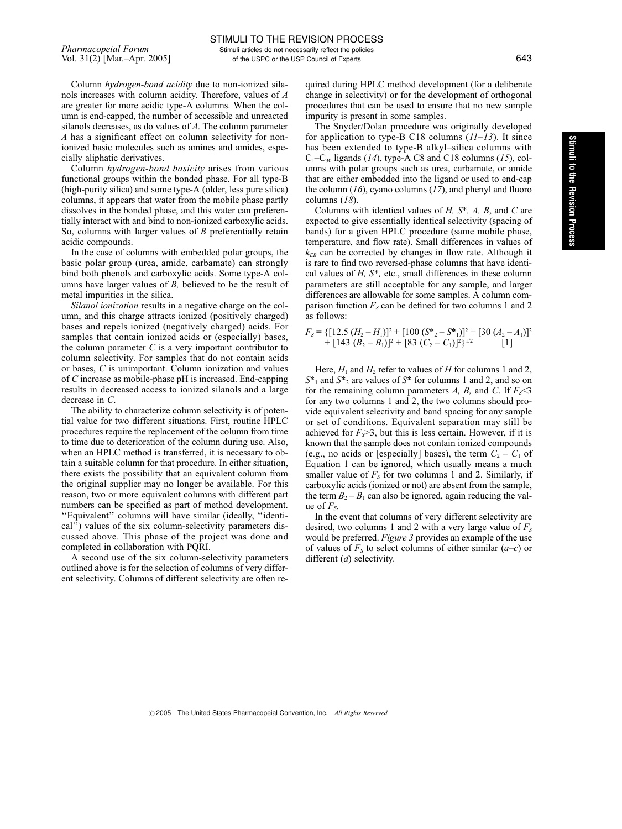Column hydrogen-bond acidity due to non-ionized silanols increases with column acidity. Therefore, values of A are greater for more acidic type-A columns. When the column is end-capped, the number of accessible and unreacted silanols decreases, as do values of A. The column parameter A has a significant effect on column selectivity for nonionized basic molecules such as amines and amides, especially aliphatic derivatives.

Column hydrogen-bond basicity arises from various functional groups within the bonded phase. For all type-B (high-purity silica) and some type-A (older, less pure silica) columns, it appears that water from the mobile phase partly dissolves in the bonded phase, and this water can preferentially interact with and bind to non-ionized carboxylic acids. So, columns with larger values of B preferentially retain acidic compounds.

In the case of columns with embedded polar groups, the basic polar group (urea, amide, carbamate) can strongly bind both phenols and carboxylic acids. Some type-A columns have larger values of  $B$ , believed to be the result of metal impurities in the silica.

Silanol ionization results in a negative charge on the column, and this charge attracts ionized (positively charged) bases and repels ionized (negatively charged) acids. For samples that contain ionized acids or (especially) bases, the column parameter  $C$  is a very important contributor to column selectivity. For samples that do not contain acids or bases, C is unimportant. Column ionization and values of C increase as mobile-phase pH is increased. End-capping results in decreased access to ionized silanols and a large decrease in C.

The ability to characterize column selectivity is of potential value for two different situations. First, routine HPLC procedures require the replacement of the column from time to time due to deterioration of the column during use. Also, when an HPLC method is transferred, it is necessary to obtain a suitable column for that procedure. In either situation, there exists the possibility that an equivalent column from the original supplier may no longer be available. For this reason, two or more equivalent columns with different part numbers can be specified as part of method development. ''Equivalent'' columns will have similar (ideally, ''identical'') values of the six column-selectivity parameters discussed above. This phase of the project was done and completed in collaboration with PQRI.

A second use of the six column-selectivity parameters outlined above is for the selection of columns of very different selectivity. Columns of different selectivity are often required during HPLC method development (for a deliberate change in selectivity) or for the development of orthogonal procedures that can be used to ensure that no new sample impurity is present in some samples.

The Snyder/Dolan procedure was originally developed for application to type-B C18 columns  $(11-13)$ . It since has been extended to type-B alkyl–silica columns with  $C_1-C_{30}$  ligands (14), type-A C8 and C18 columns (15), columns with polar groups such as urea, carbamate, or amide that are either embedded into the ligand or used to end-cap the column  $(16)$ , cyano columns  $(17)$ , and phenyl and fluoro columns (18).

Columns with identical values of  $H$ ,  $S^*$ ,  $A$ ,  $B$ , and  $C$  are expected to give essentially identical selectivity (spacing of bands) for a given HPLC procedure (same mobile phase, temperature, and flow rate). Small differences in values of  $k_{EB}$  can be corrected by changes in flow rate. Although it is rare to find two reversed-phase columns that have identical values of  $H$ ,  $S^*$ , etc., small differences in these column parameters are still acceptable for any sample, and larger differences are allowable for some samples. A column comparison function  $F_s$  can be defined for two columns 1 and 2 as follows:

$$
F_S = \{ [12.5 (H_2 - H_1)]^2 + [100 (S^*_{2} - S^*_{1})]^2 + [30 (A_2 - A_1)]^2 + [143 (B_2 - B_1)]^2 + [83 (C_2 - C_1)]^2 \}^{1/2}
$$
 [1]

Here,  $H_1$  and  $H_2$  refer to values of H for columns 1 and 2,  $S^*$ <sub>1</sub> and  $S^*$ <sub>2</sub> are values of  $S^*$  for columns 1 and 2, and so on for the remaining column parameters A, B, and C. If  $F_s < 3$ for any two columns 1 and 2, the two columns should provide equivalent selectivity and band spacing for any sample or set of conditions. Equivalent separation may still be achieved for  $F_s$ >3, but this is less certain. However, if it is known that the sample does not contain ionized compounds (e.g., no acids or [especially] bases), the term  $C_2 - C_1$  of Equation 1 can be ignored, which usually means a much smaller value of  $F<sub>S</sub>$  for two columns 1 and 2. Similarly, if carboxylic acids (ionized or not) are absent from the sample, the term  $B_2 - B_1$  can also be ignored, again reducing the value of  $F_s$ .

In the event that columns of very different selectivity are desired, two columns 1 and 2 with a very large value of  $F<sub>S</sub>$ would be preferred. *Figure 3* provides an example of the use of values of  $F<sub>S</sub>$  to select columns of either similar  $(a-c)$  or different (d) selectivity.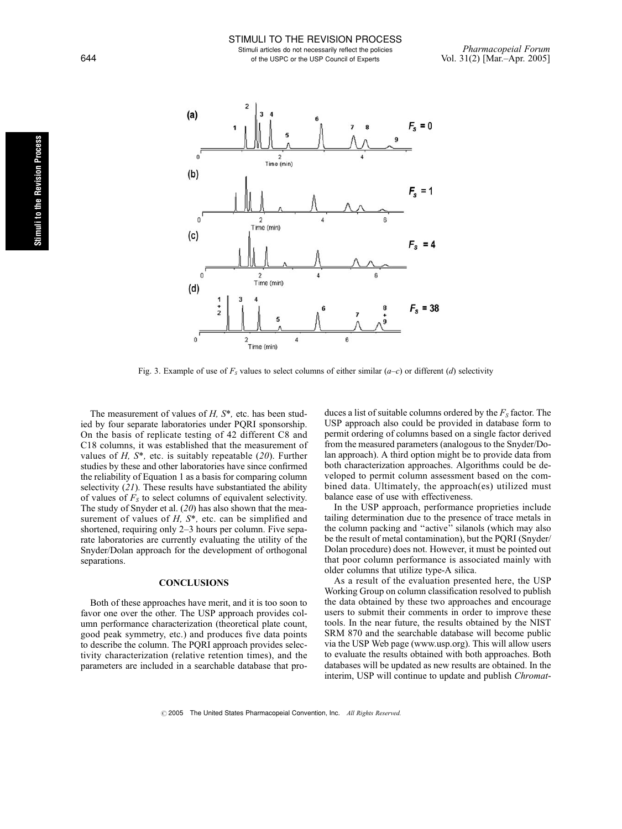

Fig. 3. Example of use of  $F<sub>S</sub>$  values to select columns of either similar  $(a-c)$  or different (d) selectivity

The measurement of values of  $H$ ,  $S^*$ , etc. has been studied by four separate laboratories under PQRI sponsorship. On the basis of replicate testing of 42 different C8 and C18 columns, it was established that the measurement of values of  $H$ ,  $S^*$ , etc. is suitably repeatable (20). Further studies by these and other laboratories have since confirmed the reliability of Equation 1 as a basis for comparing column selectivity  $(21)$ . These results have substantiated the ability of values of  $F<sub>S</sub>$  to select columns of equivalent selectivity. The study of Snyder et al. (20) has also shown that the measurement of values of  $H$ ,  $S^*$ , etc. can be simplified and shortened, requiring only 2–3 hours per column. Five separate laboratories are currently evaluating the utility of the Snyder/Dolan approach for the development of orthogonal separations.

### **CONCLUSIONS**

Both of these approaches have merit, and it is too soon to favor one over the other. The USP approach provides column performance characterization (theoretical plate count, good peak symmetry, etc.) and produces five data points to describe the column. The PQRI approach provides selectivity characterization (relative retention times), and the parameters are included in a searchable database that pro-

duces a list of suitable columns ordered by the  $F<sub>S</sub>$  factor. The USP approach also could be provided in database form to permit ordering of columns based on a single factor derived from the measured parameters (analogous to the Snyder/Dolan approach). A third option might be to provide data from both characterization approaches. Algorithms could be developed to permit column assessment based on the combined data. Ultimately, the approach(es) utilized must balance ease of use with effectiveness.

In the USP approach, performance proprieties include tailing determination due to the presence of trace metals in the column packing and ''active'' silanols (which may also be the result of metal contamination), but the PQRI (Snyder/ Dolan procedure) does not. However, it must be pointed out that poor column performance is associated mainly with older columns that utilize type-A silica.

As a result of the evaluation presented here, the USP Working Group on column classification resolved to publish the data obtained by these two approaches and encourage users to submit their comments in order to improve these tools. In the near future, the results obtained by the NIST SRM 870 and the searchable database will become public via the USP Web page (www.usp.org). This will allow users to evaluate the results obtained with both approaches. Both databases will be updated as new results are obtained. In the interim, USP will continue to update and publish *Chromat*-

 $\odot$  2005 The United States Pharmacopeial Convention, Inc. All Rights Reserved.